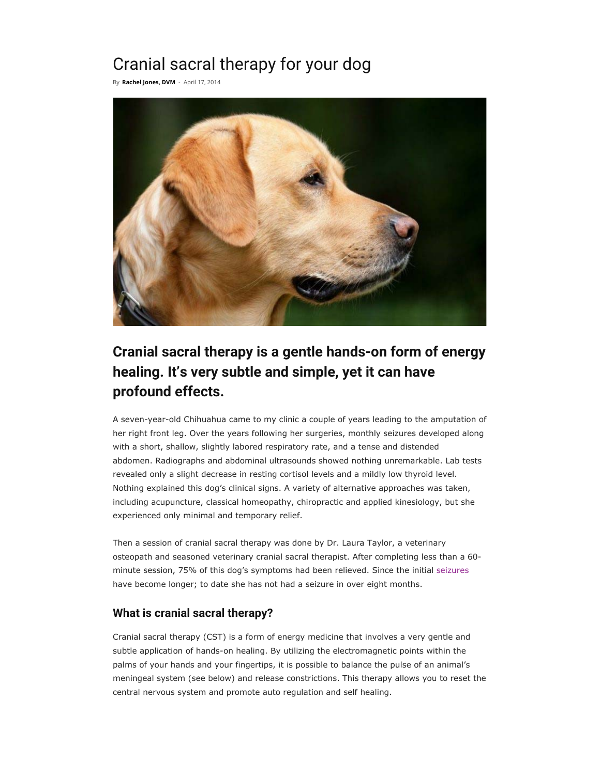# Cranial sacral therapy for your dog

By **Rachel Jones, DVM** - April 17, 2014



## **Cranial sacral therapy is a gentle hands-on form of energy healing. It's very subtle and simple, yet it can have profound effects.**

A seven-year-old Chihuahua came to my clinic a couple of years leading to the amputation of her right front leg. Over the years following her surgeries, monthly seizures developed along with a short, shallow, slightly labored respiratory rate, and a tense and distended abdomen. Radiographs and abdominal ultrasounds showed nothing unremarkable. Lab tests revealed only a slight decrease in resting cortisol levels and a mildly low thyroid level. Nothing explained this dog's clinical signs. A variety of alternative approaches was taken, including acupuncture, classical homeopathy, chiropractic and applied kinesiology, but she experienced only minimal and temporary relief.

Then a session of cranial sacral therapy was done by Dr. Laura Taylor, a veterinary osteopath and seasoned veterinary cranial sacral therapist. After completing less than a 60 minute session, 75% of this dog's symptoms had been relieved. Since the initial seizures have become longer; to date she has not had a seizure in over eight months.

### **What is cranial sacral therapy?**

Cranial sacral therapy (CST) is a form of energy medicine that involves a very gentle and subtle application of hands-on healing. By utilizing the electromagnetic points within the palms of your hands and your fingertips, it is possible to balance the pulse of an animal's meningeal system (see below) and release constrictions. This therapy allows you to reset the central nervous system and promote auto regulation and self healing.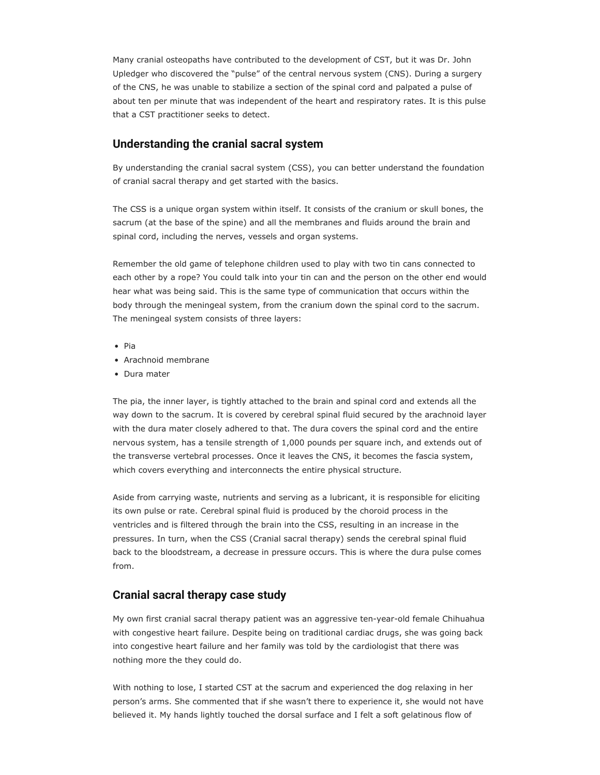Many cranial osteopaths have contributed to the development of CST, but it was Dr. John Upledger who discovered the "pulse" of the central nervous system (CNS). During a surgery of the CNS, he was unable to stabilize a section of the spinal cord and palpated a pulse of about ten per minute that was independent of the heart and respiratory rates. It is this pulse that a CST practitioner seeks to detect.

#### **Understanding the cranial sacral system**

By understanding the cranial sacral system (CSS), you can better understand the foundation of cranial sacral therapy and get started with the basics.

The CSS is a unique organ system within itself. It consists of the cranium or skull bones, the sacrum (at the base of the spine) and all the membranes and fluids around the brain and spinal cord, including the nerves, vessels and organ systems.

Remember the old game of telephone children used to play with two tin cans connected to each other by a rope? You could talk into your tin can and the person on the other end would hear what was being said. This is the same type of communication that occurs within the body through the meningeal system, from the cranium down the spinal cord to the sacrum. The meningeal system consists of three layers:

- Pia
- Arachnoid membrane
- Dura mater

The pia, the inner layer, is tightly attached to the brain and spinal cord and extends all the way down to the sacrum. It is covered by cerebral spinal fluid secured by the arachnoid layer with the dura mater closely adhered to that. The dura covers the spinal cord and the entire nervous system, has a tensile strength of 1,000 pounds per square inch, and extends out of the transverse vertebral processes. Once it leaves the CNS, it becomes the fascia system, which covers everything and interconnects the entire physical structure.

Aside from carrying waste, nutrients and serving as a lubricant, it is responsible for eliciting its own pulse or rate. Cerebral spinal fluid is produced by the choroid process in the ventricles and is filtered through the brain into the CSS, resulting in an increase in the pressures. In turn, when the CSS (Cranial sacral therapy) sends the cerebral spinal fluid back to the bloodstream, a decrease in pressure occurs. This is where the dura pulse comes from.

#### **Cranial sacral therapy case study**

My own first cranial sacral therapy patient was an aggressive ten-year-old female Chihuahua with congestive heart failure. Despite being on traditional cardiac drugs, she was going back into congestive heart failure and her family was told by the cardiologist that there was nothing more the they could do.

With nothing to lose, I started CST at the sacrum and experienced the dog relaxing in her person's arms. She commented that if she wasn't there to experience it, she would not have believed it. My hands lightly touched the dorsal surface and I felt a soft gelatinous flow of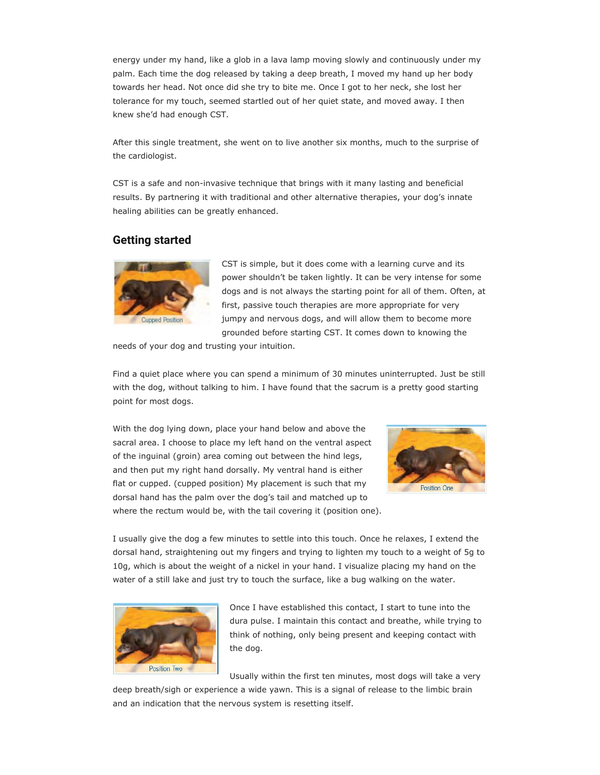energy under my hand, like a glob in a lava lamp moving slowly and continuously under my palm. Each time the dog released by taking a deep breath, I moved my hand up her body towards her head. Not once did she try to bite me. Once I got to her neck, she lost her tolerance for my touch, seemed startled out of her quiet state, and moved away. I then knew she'd had enough CST.

After this single treatment, she went on to live another six months, much to the surprise of the cardiologist.

CST is a safe and non-invasive technique that brings with it many lasting and beneficial results. By partnering it with traditional and other alternative therapies, your dog's innate healing abilities can be greatly enhanced.

#### **Getting started**



CST is simple, but it does come with a learning curve and its power shouldn't be taken lightly. It can be very intense for some dogs and is not always the starting point for all of them. Often, at first, passive touch therapies are more appropriate for very jumpy and nervous dogs, and will allow them to become more grounded before starting CST. It comes down to knowing the

needs of your dog and trusting your intuition.

Find a quiet place where you can spend a minimum of 30 minutes uninterrupted. Just be still with the dog, without talking to him. I have found that the sacrum is a pretty good starting point for most dogs.

With the dog lying down, place your hand below and above the sacral area. I choose to place my left hand on the ventral aspect of the inguinal (groin) area coming out between the hind legs, and then put my right hand dorsally. My ventral hand is either flat or cupped. (cupped position) My placement is such that my dorsal hand has the palm over the dog's tail and matched up to where the rectum would be, with the tail covering it (position one).



I usually give the dog a few minutes to settle into this touch. Once he relaxes, I extend the dorsal hand, straightening out my fingers and trying to lighten my touch to a weight of 5g to 10g, which is about the weight of a nickel in your hand. I visualize placing my hand on the water of a still lake and just try to touch the surface, like a bug walking on the water.



Once I have established this contact, I start to tune into the dura pulse. I maintain this contact and breathe, while trying to think of nothing, only being present and keeping contact with the dog.

Usually within the first ten minutes, most dogs will take a very

deep breath/sigh or experience a wide yawn. This is a signal of release to the limbic brain and an indication that the nervous system is resetting itself.